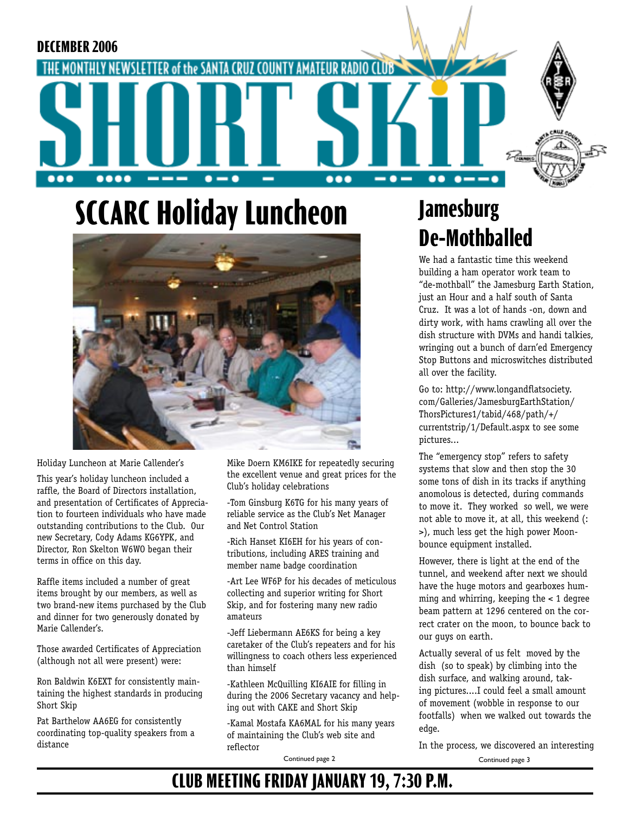

# **SCCARC Holiday Luncheon**



Holiday Luncheon at Marie Callender's

This year's holiday luncheon included a raffle, the Board of Directors installation, and presentation of Certificates of Appreciation to fourteen individuals who have made outstanding contributions to the Club. Our new Secretary, Cody Adams KG6YPK, and Director, Ron Skelton W6WO began their terms in office on this day.

Raffle items included a number of great items brought by our members, as well as two brand-new items purchased by the Club and dinner for two generously donated by Marie Callender's.

Those awarded Certificates of Appreciation (although not all were present) were:

Ron Baldwin K6EXT for consistently maintaining the highest standards in producing Short Skip

Pat Barthelow AA6EG for consistently coordinating top-quality speakers from a distance

Mike Doern KM6IKE for repeatedly securing the excellent venue and great prices for the Club's holiday celebrations

-Tom Ginsburg K6TG for his many years of reliable service as the Club's Net Manager and Net Control Station

-Rich Hanset KI6EH for his years of contributions, including ARES training and member name badge coordination

-Art Lee WF6P for his decades of meticulous collecting and superior writing for Short Skip, and for fostering many new radio amateurs

-Jeff Liebermann AE6KS for being a key caretaker of the Club's repeaters and for his willingness to coach others less experienced than himself

-Kathleen McQuilling KI6AIE for filling in during the 2006 Secretary vacancy and helping out with CAKE and Short Skip

-Kamal Mostafa KA6MAL for his many years of maintaining the Club's web site and reflector

Continued page 2

## **Jamesburg De-Mothballed**

We had a fantastic time this weekend building a ham operator work team to "de-mothball" the Jamesburg Earth Station, just an Hour and a half south of Santa Cruz. It was a lot of hands -on, down and dirty work, with hams crawling all over the dish structure with DVMs and handi talkies, wringing out a bunch of darn'ed Emergency Stop Buttons and microswitches distributed all over the facility.

Go to: http://www.longandflatsociety. com/Galleries/JamesburgEarthStation/ ThorsPictures1/tabid/468/path/+/ currentstrip/1/Default.aspx to see some pictures...

The "emergency stop" refers to safety systems that slow and then stop the 30 some tons of dish in its tracks if anything anomolous is detected, during commands to move it. They worked so well, we were not able to move it, at all, this weekend (: >), much less get the high power Moonbounce equipment installed.

However, there is light at the end of the tunnel, and weekend after next we should have the huge motors and gearboxes humming and whirring, keeping the < 1 degree beam pattern at 1296 centered on the correct crater on the moon, to bounce back to our guys on earth.

Actually several of us felt moved by the dish (so to speak) by climbing into the dish surface, and walking around, taking pictures....I could feel a small amount of movement (wobble in response to our footfalls) when we walked out towards the edge.

In the process, we discovered an interesting

Continued page 3

## **CLUB MEETING FRIDAY JANUARY 19, 7:30 P.M.**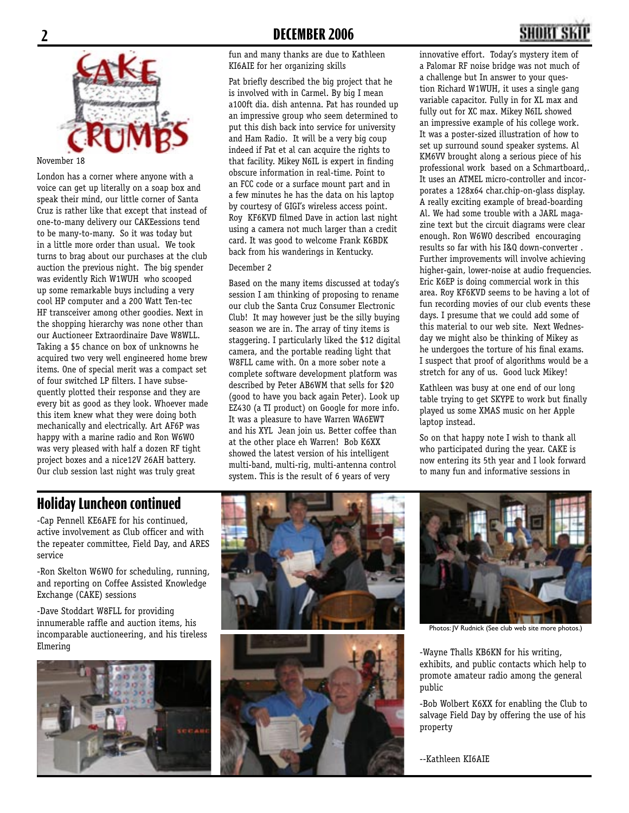

#### November 18

London has a corner where anyone with a voice can get up literally on a soap box and speak their mind, our little corner of Santa Cruz is rather like that except that instead of one-to-many delivery our CAKEessions tend to be many-to-many. So it was today but in a little more order than usual. We took turns to brag about our purchases at the club auction the previous night. The big spender was evidently Rich W1WUH who scooped up some remarkable buys including a very cool HP computer and a 200 Watt Ten-tec HF transceiver among other goodies. Next in the shopping hierarchy was none other than our Auctioneer Extraordinaire Dave W8WLL. Taking a \$5 chance on box of unknowns he acquired two very well engineered home brew items. One of special merit was a compact set of four switched LP filters. I have subsequently plotted their response and they are every bit as good as they look. Whoever made this item knew what they were doing both mechanically and electrically. Art AF6P was happy with a marine radio and Ron W6WO was very pleased with half a dozen RF tight project boxes and a nice12V 26AH battery. Our club session last night was truly great

fun and many thanks are due to Kathleen KI6AIE for her organizing skills

Pat briefly described the big project that he is involved with in Carmel. By big I mean a100ft dia. dish antenna. Pat has rounded up an impressive group who seem determined to put this dish back into service for university and Ham Radio. It will be a very big coup indeed if Pat et al can acquire the rights to that facility. Mikey N6IL is expert in finding obscure information in real-time. Point to an FCC code or a surface mount part and in a few minutes he has the data on his laptop by courtesy of GIGI's wireless access point. Roy KF6KVD filmed Dave in action last night using a camera not much larger than a credit card. It was good to welcome Frank K6BDK back from his wanderings in Kentucky.

#### December 2

Based on the many items discussed at today's session I am thinking of proposing to rename our club the Santa Cruz Consumer Electronic Club! It may however just be the silly buying season we are in. The array of tiny items is staggering. I particularly liked the \$12 digital camera, and the portable reading light that W8FLL came with. On a more sober note a complete software development platform was described by Peter AB6WM that sells for \$20 (good to have you back again Peter). Look up EZ430 (a TI product) on Google for more info. It was a pleasure to have Warren WA6EWT and his XYL Jean join us. Better coffee than at the other place eh Warren! Bob K6XX showed the latest version of his intelligent multi-band, multi-rig, multi-antenna control system. This is the result of 6 years of very

innovative effort. Today's mystery item of a Palomar RF noise bridge was not much of a challenge but In answer to your question Richard W1WUH, it uses a single gang variable capacitor. Fully in for XL max and fully out for XC max. Mikey N6IL showed an impressive example of his college work. It was a poster-sized illustration of how to set up surround sound speaker systems. Al KM6VV brought along a serious piece of his professional work based on a Schmartboard,. It uses an ATMEL micro-controller and incorporates a 128x64 char.chip-on-glass display. A really exciting example of bread-boarding Al. We had some trouble with a JARL magazine text but the circuit diagrams were clear enough. Ron W6WO described encouraging results so far with his I&Q down-converter . Further improvements will involve achieving higher-gain, lower-noise at audio frequencies. Eric K6EP is doing commercial work in this area. Roy KF6KVD seems to be having a lot of fun recording movies of our club events these days. I presume that we could add some of this material to our web site. Next Wednesday we might also be thinking of Mikey as he undergoes the torture of his final exams. I suspect that proof of algorithms would be a stretch for any of us. Good luck Mikey!

Kathleen was busy at one end of our long table trying to get SKYPE to work but finally played us some XMAS music on her Apple laptop instead.

So on that happy note I wish to thank all who participated during the year. CAKE is now entering its 5th year and I look forward to many fun and informative sessions in

#### **Holiday Luncheon continued**

-Cap Pennell KE6AFE for his continued, active involvement as Club officer and with the repeater committee, Field Day, and ARES service

-Ron Skelton W6WO for scheduling, running, and reporting on Coffee Assisted Knowledge Exchange (CAKE) sessions

-Dave Stoddart W8FLL for providing innumerable raffle and auction items, his incomparable auctioneering, and his tireless Elmering







Photos: JV Rudnick (See club web site more photos.)

-Wayne Thalls KB6KN for his writing, exhibits, and public contacts which help to promote amateur radio among the general public

-Bob Wolbert K6XX for enabling the Club to salvage Field Day by offering the use of his property

--Kathleen KI6AIE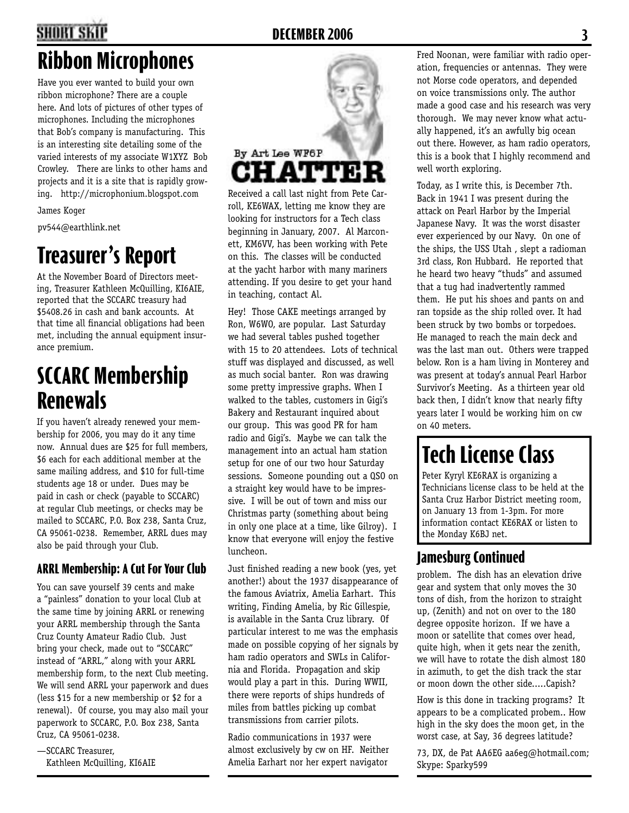## **2 DECEMBER 2006 3**

## **Ribbon Microphones**

Have you ever wanted to build your own ribbon microphone? There are a couple here. And lots of pictures of other types of microphones. Including the microphones that Bob's company is manufacturing. This is an interesting site detailing some of the varied interests of my associate W1XYZ Bob Crowley. There are links to other hams and projects and it is a site that is rapidly growing. http://microphonium.blogspot.com

James Koger

pv544@earthlink.net

## **Treasurer's Report**

At the November Board of Directors meeting, Treasurer Kathleen McQuilling, KI6AIE, reported that the SCCARC treasury had \$5408.26 in cash and bank accounts. At that time all financial obligations had been met, including the annual equipment insurance premium.

## **SCCARC Membership Renewals**

If you haven't already renewed your membership for 2006, you may do it any time now. Annual dues are \$25 for full members, \$6 each for each additional member at the same mailing address, and \$10 for full-time students age 18 or under. Dues may be paid in cash or check (payable to SCCARC) at regular Club meetings, or checks may be mailed to SCCARC, P.O. Box 238, Santa Cruz, CA 95061-0238. Remember, ARRL dues may also be paid through your Club.

#### **ARRL Membership: A Cut For Your Club**

You can save yourself 39 cents and make a "painless" donation to your local Club at the same time by joining ARRL or renewing your ARRL membership through the Santa Cruz County Amateur Radio Club. Just bring your check, made out to "SCCARC" instead of "ARRL," along with your ARRL membership form, to the next Club meeting. We will send ARRL your paperwork and dues (less \$15 for a new membership or \$2 for a renewal). Of course, you may also mail your paperwork to SCCARC, P.O. Box 238, Santa Cruz, CA 95061-0238.

—SCCARC Treasurer, Kathleen McQuilling, KI6AIE



Received a call last night from Pete Carroll, KE6WAX, letting me know they are looking for instructors for a Tech class beginning in January, 2007. Al Marconett, KM6VV, has been working with Pete on this. The classes will be conducted at the yacht harbor with many mariners attending. If you desire to get your hand in teaching, contact Al.

Hey! Those CAKE meetings arranged by Ron, W6WO, are popular. Last Saturday we had several tables pushed together with 15 to 20 attendees. Lots of technical stuff was displayed and discussed, as well as much social banter. Ron was drawing some pretty impressive graphs. When I walked to the tables, customers in Gigi's Bakery and Restaurant inquired about our group. This was good PR for ham radio and Gigi's. Maybe we can talk the management into an actual ham station setup for one of our two hour Saturday sessions. Someone pounding out a QSO on a straight key would have to be impressive. I will be out of town and miss our Christmas party (something about being in only one place at a time, like Gilroy). I know that everyone will enjoy the festive luncheon.

Just finished reading a new book (yes, yet another!) about the 1937 disappearance of the famous Aviatrix, Amelia Earhart. This writing, Finding Amelia, by Ric Gillespie, is available in the Santa Cruz library. Of particular interest to me was the emphasis made on possible copying of her signals by ham radio operators and SWLs in California and Florida. Propagation and skip would play a part in this. During WWII, there were reports of ships hundreds of miles from battles picking up combat transmissions from carrier pilots.

Radio communications in 1937 were almost exclusively by cw on HF. Neither Amelia Earhart nor her expert navigator

Fred Noonan, were familiar with radio operation, frequencies or antennas. They were not Morse code operators, and depended on voice transmissions only. The author made a good case and his research was very thorough. We may never know what actually happened, it's an awfully big ocean out there. However, as ham radio operators, this is a book that I highly recommend and well worth exploring.

Today, as I write this, is December 7th. Back in 1941 I was present during the attack on Pearl Harbor by the Imperial Japanese Navy. It was the worst disaster ever experienced by our Navy. On one of the ships, the USS Utah , slept a radioman 3rd class, Ron Hubbard. He reported that he heard two heavy "thuds" and assumed that a tug had inadvertently rammed them. He put his shoes and pants on and ran topside as the ship rolled over. It had been struck by two bombs or torpedoes. He managed to reach the main deck and was the last man out. Others were trapped below. Ron is a ham living in Monterey and was present at today's annual Pearl Harbor Survivor's Meeting. As a thirteen year old back then, I didn't know that nearly fifty years later I would be working him on cw on 40 meters.

## **Tech License Class**

Peter Kyryl KE6RAX is organizing a Technicians license class to be held at the Santa Cruz Harbor District meeting room, on January 13 from 1-3pm. For more information contact KE6RAX or listen to the Monday K6BJ net.

### **Jamesburg Continued**

problem. The dish has an elevation drive gear and system that only moves the 30 tons of dish, from the horizon to straight up, (Zenith) and not on over to the 180 degree opposite horizon. If we have a moon or satellite that comes over head, quite high, when it gets near the zenith, we will have to rotate the dish almost 180 in azimuth, to get the dish track the star or moon down the other side.....Capish?

How is this done in tracking programs? It appears to be a complicated probem.. How high in the sky does the moon get, in the worst case, at Say, 36 degrees latitude?

73, DX, de Pat AA6EG aa6eg@hotmail.com; Skype: Sparky599